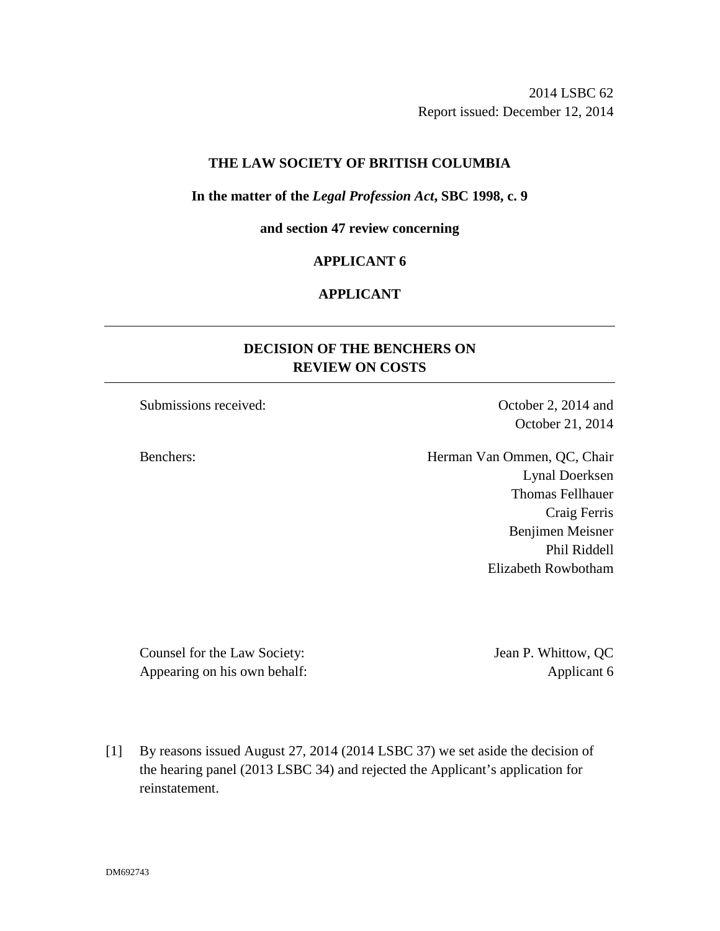### **THE LAW SOCIETY OF BRITISH COLUMBIA**

#### **In the matter of the** *Legal Profession Act***, SBC 1998, c. 9**

**and section 47 review concerning** 

### **APPLICANT 6**

## **APPLICANT**

# **DECISION OF THE BENCHERS ON REVIEW ON COSTS**

Submissions received: October 2, 2014 and

October 21, 2014

Benchers: Herman Van Ommen, QC, Chair Lynal Doerksen Thomas Fellhauer Craig Ferris Benjimen Meisner Phil Riddell Elizabeth Rowbotham

Counsel for the Law Society: Jean P. Whittow, QC Appearing on his own behalf: Applicant 6

[1] By reasons issued August 27, 2014 (2014 LSBC 37) we set aside the decision of the hearing panel (2013 LSBC 34) and rejected the Applicant's application for reinstatement.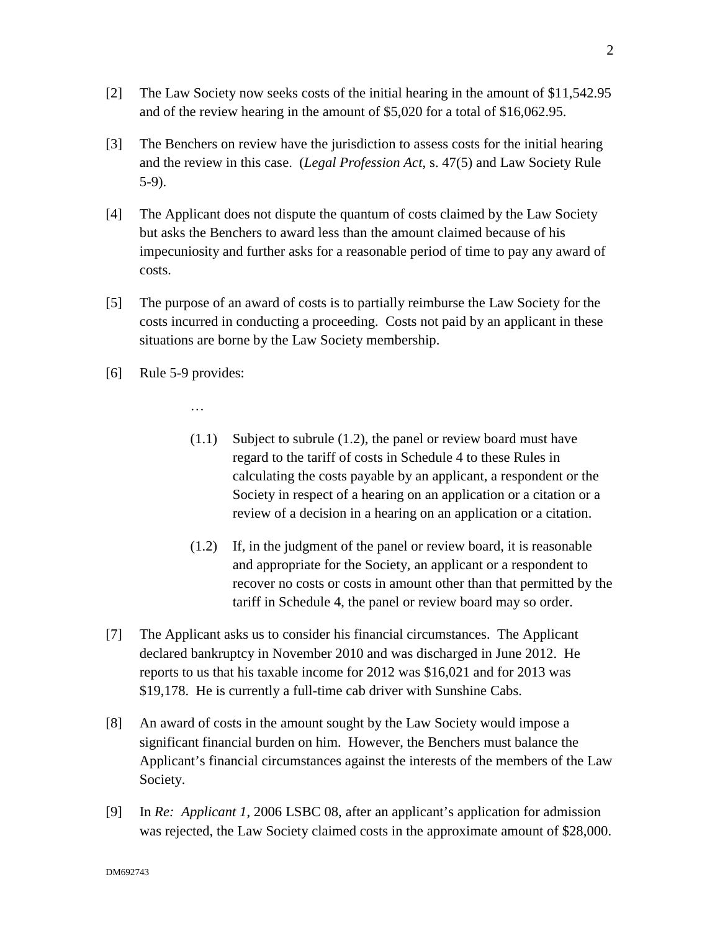- [2] The Law Society now seeks costs of the initial hearing in the amount of \$11,542.95 and of the review hearing in the amount of \$5,020 for a total of \$16,062.95.
- [3] The Benchers on review have the jurisdiction to assess costs for the initial hearing and the review in this case. (*Legal Profession Act*, s. 47(5) and Law Society Rule 5-9).
- [4] The Applicant does not dispute the quantum of costs claimed by the Law Society but asks the Benchers to award less than the amount claimed because of his impecuniosity and further asks for a reasonable period of time to pay any award of costs.
- [5] The purpose of an award of costs is to partially reimburse the Law Society for the costs incurred in conducting a proceeding. Costs not paid by an applicant in these situations are borne by the Law Society membership.
- [6] Rule 5-9 provides:

…

- (1.1) Subject to subrule (1.2), the panel or review board must have regard to the tariff of costs in Schedule 4 to these Rules in calculating the costs payable by an applicant, a respondent or the Society in respect of a hearing on an application or a citation or a review of a decision in a hearing on an application or a citation.
- (1.2) If, in the judgment of the panel or review board, it is reasonable and appropriate for the Society, an applicant or a respondent to recover no costs or costs in amount other than that permitted by the tariff in Schedule 4, the panel or review board may so order.
- [7] The Applicant asks us to consider his financial circumstances. The Applicant declared bankruptcy in November 2010 and was discharged in June 2012. He reports to us that his taxable income for 2012 was \$16,021 and for 2013 was \$19,178. He is currently a full-time cab driver with Sunshine Cabs.
- [8] An award of costs in the amount sought by the Law Society would impose a significant financial burden on him. However, the Benchers must balance the Applicant's financial circumstances against the interests of the members of the Law Society.
- [9] In *Re: Applicant 1*, 2006 LSBC 08, after an applicant's application for admission was rejected, the Law Society claimed costs in the approximate amount of \$28,000.